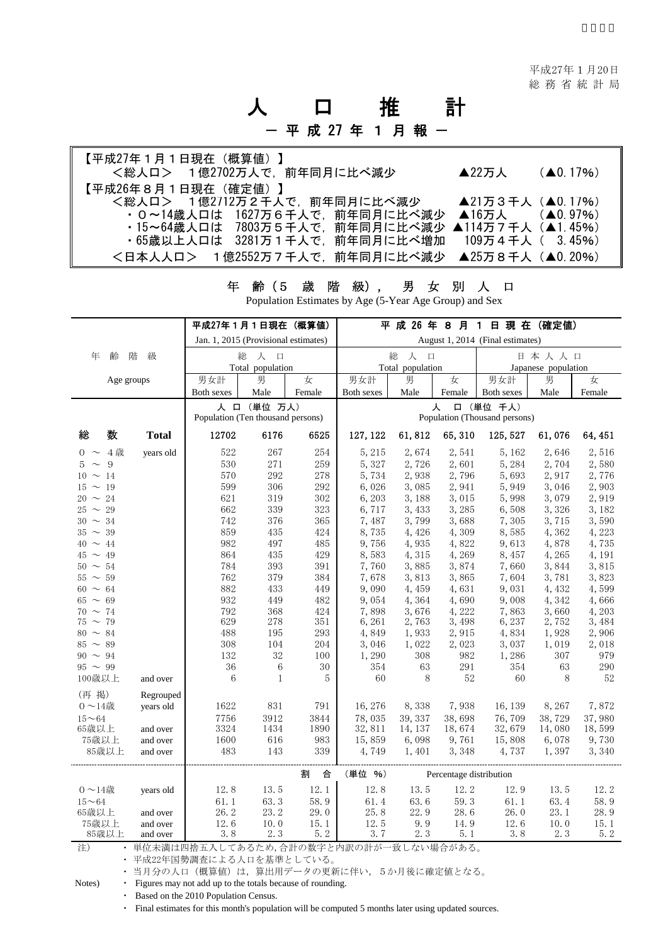# 人 口 推 計

## - 平 成 27 年 1 月 報 -

| 【平成27年1月1日現在(概算値)】<br><総人ロ> 1億2702万人で、前年同月に比べ減少 | ▲22万人            | $(40.17\%)$ |
|-------------------------------------------------|------------------|-------------|
| 【平成26年8月1日現在(確定値)】                              |                  |             |
| <総人ロ> 1億2712万2千人で,前年同月に比べ減少                     | ▲21万3千人 (▲0.17%) |             |
| ・0~14歳人口は 1627万6千人で、前年同月に比べ減少                   | ▲16万人  (▲0.97%)  |             |
| ・15~64歳人口は 7803万5千人で,前年同月に比べ減少 ▲114万7千人(▲1.45%) |                  |             |
| ・65歳以上人口は 3281万1千人で,前年同月に比べ増加 109万4千人( 3.45%)   |                  |             |
| <日本人人口> 1億2552万7千人で.前年同月に比べ減少 ▲25万8千人(▲0. 20%)  |                  |             |

#### 年 齢(5 歳 階 級), 男 女 別 人 口

Population Estimates by Age (5-Year Age Group) and Sex

|                                                                                                                                                                |                                    | 平成27年1月1日現在(概算値)                                                                         |                                                                                   |                                                                                                | 平 成 26 年 8 月 1 日 現 在 (確定値)                                                                            |                                                                                                                 |                                                                                                     |                                                                                                                |                                                                                                            |                                                  |
|----------------------------------------------------------------------------------------------------------------------------------------------------------------|------------------------------------|------------------------------------------------------------------------------------------|-----------------------------------------------------------------------------------|------------------------------------------------------------------------------------------------|-------------------------------------------------------------------------------------------------------|-----------------------------------------------------------------------------------------------------------------|-----------------------------------------------------------------------------------------------------|----------------------------------------------------------------------------------------------------------------|------------------------------------------------------------------------------------------------------------|--------------------------------------------------|
|                                                                                                                                                                |                                    | Jan. 1, 2015 (Provisional estimates)                                                     |                                                                                   |                                                                                                | August 1, 2014 (Final estimates)                                                                      |                                                                                                                 |                                                                                                     |                                                                                                                |                                                                                                            |                                                  |
| 年<br>齢                                                                                                                                                         | 階<br>級                             | 総<br>人 口<br>Total population                                                             |                                                                                   |                                                                                                | 総<br>人<br>$\Box$<br>Total population                                                                  |                                                                                                                 |                                                                                                     | 日本人人口<br>Japanese population                                                                                   |                                                                                                            |                                                  |
|                                                                                                                                                                | Age groups                         | 男女計                                                                                      | 男                                                                                 | 女                                                                                              | 男女計                                                                                                   | 男                                                                                                               | 女                                                                                                   | 男女計                                                                                                            | 男                                                                                                          | 女                                                |
|                                                                                                                                                                |                                    | Both sexes                                                                               | Male                                                                              | Female                                                                                         | Both sexes                                                                                            | Male                                                                                                            | Female                                                                                              | Both sexes                                                                                                     | Male                                                                                                       | Female                                           |
|                                                                                                                                                                |                                    |                                                                                          | 人 口 (単位 万人)                                                                       |                                                                                                |                                                                                                       |                                                                                                                 | 人                                                                                                   | 口 (単位 千人)                                                                                                      |                                                                                                            |                                                  |
|                                                                                                                                                                |                                    | Population (Ten thousand persons)                                                        |                                                                                   |                                                                                                | Population (Thousand persons)                                                                         |                                                                                                                 |                                                                                                     |                                                                                                                |                                                                                                            |                                                  |
| 数<br>総                                                                                                                                                         | <b>Total</b>                       | 12702                                                                                    | 6176                                                                              | 6525                                                                                           | 127, 122                                                                                              | 61, 812                                                                                                         | 65, 310                                                                                             | 125, 527                                                                                                       | 61,076                                                                                                     | 64, 451                                          |
| 4歳<br>$0 \sim$                                                                                                                                                 | years old                          | 522                                                                                      | 267                                                                               | 254                                                                                            | 5, 215                                                                                                | 2,674                                                                                                           | 2,541                                                                                               | 5, 162                                                                                                         | 2,646                                                                                                      | 2,516                                            |
| 9<br>5<br>$\sim$                                                                                                                                               |                                    | 530                                                                                      | 271                                                                               | 259                                                                                            | 5,327                                                                                                 | 2,726                                                                                                           | 2,601                                                                                               | 5,284                                                                                                          | 2,704                                                                                                      | 2,580                                            |
| $10 \sim 14$                                                                                                                                                   |                                    | 570                                                                                      | 292                                                                               | $278\,$                                                                                        | 5,734                                                                                                 | 2,938                                                                                                           | 2,796                                                                                               | 5,693                                                                                                          | 2,917                                                                                                      | 2,776                                            |
| $15 \sim 19$                                                                                                                                                   |                                    | 599                                                                                      | 306                                                                               | 292                                                                                            | 6,026                                                                                                 | 3,085                                                                                                           | 2,941                                                                                               | 5,949                                                                                                          | 3,046                                                                                                      | 2,903                                            |
| $20 \sim 24$                                                                                                                                                   |                                    | 621                                                                                      | 319                                                                               | $302\,$                                                                                        | 6,203                                                                                                 | 3,188                                                                                                           | 3,015                                                                                               | 5,998                                                                                                          | 3,079                                                                                                      | 2,919                                            |
| $25 \sim 29$                                                                                                                                                   |                                    | 662                                                                                      | 339                                                                               | 323                                                                                            | 6,717                                                                                                 | 3,433                                                                                                           | 3,285                                                                                               | 6,508                                                                                                          | 3,326                                                                                                      | 3,182                                            |
| $30 \sim 34$                                                                                                                                                   |                                    | 742                                                                                      | 376                                                                               | 365                                                                                            | 7,487                                                                                                 | 3,799                                                                                                           | 3,688                                                                                               | 7,305                                                                                                          | 3,715                                                                                                      | 3,590                                            |
| $35 \sim 39$                                                                                                                                                   |                                    | 859                                                                                      | 435                                                                               | 424                                                                                            | 8,735                                                                                                 | 4,426                                                                                                           | 4,309                                                                                               | 8,585                                                                                                          | 4,362                                                                                                      | 4,223                                            |
| $40 \sim 44$                                                                                                                                                   |                                    | 982                                                                                      | 497                                                                               | 485                                                                                            | 9,756                                                                                                 | 4,935                                                                                                           | 4,822                                                                                               | 9,613                                                                                                          | 4,878                                                                                                      | 4,735                                            |
| $45 \sim 49$                                                                                                                                                   |                                    | 864                                                                                      | 435                                                                               | 429                                                                                            | 8,583                                                                                                 | 4,315                                                                                                           | 4,269                                                                                               | 8,457                                                                                                          | 4,265                                                                                                      | 4,191                                            |
| $50 \sim 54$                                                                                                                                                   |                                    | 784<br>762                                                                               | 393<br>379                                                                        | 391<br>384                                                                                     | 7,760<br>7,678                                                                                        | 3,885<br>3,813                                                                                                  | 3,874<br>3,865                                                                                      | 7,660<br>7,604                                                                                                 | 3,844<br>3,781                                                                                             | 3,815<br>3,823                                   |
| $55 \sim 59$<br>$60 \sim 64$                                                                                                                                   |                                    | 882                                                                                      | 433                                                                               | 449                                                                                            | 9,090                                                                                                 | 4,459                                                                                                           | 4,631                                                                                               | 9,031                                                                                                          | 4,432                                                                                                      | 4,599                                            |
|                                                                                                                                                                |                                    |                                                                                          |                                                                                   |                                                                                                |                                                                                                       |                                                                                                                 |                                                                                                     |                                                                                                                |                                                                                                            |                                                  |
|                                                                                                                                                                |                                    |                                                                                          |                                                                                   |                                                                                                |                                                                                                       |                                                                                                                 |                                                                                                     |                                                                                                                |                                                                                                            |                                                  |
|                                                                                                                                                                |                                    |                                                                                          |                                                                                   |                                                                                                |                                                                                                       |                                                                                                                 |                                                                                                     |                                                                                                                |                                                                                                            |                                                  |
|                                                                                                                                                                |                                    |                                                                                          |                                                                                   |                                                                                                |                                                                                                       |                                                                                                                 |                                                                                                     |                                                                                                                |                                                                                                            |                                                  |
|                                                                                                                                                                |                                    |                                                                                          |                                                                                   |                                                                                                |                                                                                                       |                                                                                                                 |                                                                                                     |                                                                                                                |                                                                                                            |                                                  |
|                                                                                                                                                                |                                    |                                                                                          |                                                                                   |                                                                                                |                                                                                                       |                                                                                                                 |                                                                                                     |                                                                                                                |                                                                                                            |                                                  |
| $95 \sim 99$                                                                                                                                                   |                                    |                                                                                          |                                                                                   |                                                                                                |                                                                                                       |                                                                                                                 |                                                                                                     |                                                                                                                |                                                                                                            | 290                                              |
| 100歳以上                                                                                                                                                         | and over                           | 6                                                                                        | $\mathbf{1}$                                                                      | 5                                                                                              | 60                                                                                                    | 8                                                                                                               | 52                                                                                                  | 60                                                                                                             | 8                                                                                                          | 52                                               |
|                                                                                                                                                                |                                    |                                                                                          |                                                                                   |                                                                                                |                                                                                                       |                                                                                                                 |                                                                                                     |                                                                                                                |                                                                                                            |                                                  |
| $0 \sim 14$ 歳                                                                                                                                                  | years old                          | 1622                                                                                     | 831                                                                               | 791                                                                                            | 16,276                                                                                                | 8,338                                                                                                           | 7,938                                                                                               | 16, 139                                                                                                        | 8, 267                                                                                                     | 7,872                                            |
| $15 - 64$                                                                                                                                                      |                                    |                                                                                          |                                                                                   |                                                                                                |                                                                                                       |                                                                                                                 |                                                                                                     |                                                                                                                |                                                                                                            | 37,980                                           |
| 65歳以上                                                                                                                                                          | and over                           | 3324                                                                                     | 1434                                                                              | 1890                                                                                           | 32, 811                                                                                               | 14, 137                                                                                                         | 18,674                                                                                              | 32,679                                                                                                         | 14,080                                                                                                     | 18,599                                           |
|                                                                                                                                                                | and over                           |                                                                                          |                                                                                   |                                                                                                | 15,859                                                                                                |                                                                                                                 | 9,761                                                                                               |                                                                                                                |                                                                                                            | 9,730                                            |
|                                                                                                                                                                | and over                           | 483                                                                                      | 143                                                                               |                                                                                                |                                                                                                       |                                                                                                                 |                                                                                                     |                                                                                                                |                                                                                                            | 3,340                                            |
|                                                                                                                                                                |                                    |                                                                                          |                                                                                   | 割<br>合                                                                                         | (単位 %)<br>Percentage distribution                                                                     |                                                                                                                 |                                                                                                     |                                                                                                                |                                                                                                            |                                                  |
|                                                                                                                                                                |                                    |                                                                                          |                                                                                   |                                                                                                |                                                                                                       |                                                                                                                 |                                                                                                     |                                                                                                                |                                                                                                            | 12.2                                             |
|                                                                                                                                                                |                                    |                                                                                          |                                                                                   |                                                                                                |                                                                                                       |                                                                                                                 |                                                                                                     |                                                                                                                |                                                                                                            | 58.9                                             |
|                                                                                                                                                                | and over                           |                                                                                          |                                                                                   |                                                                                                |                                                                                                       |                                                                                                                 |                                                                                                     |                                                                                                                |                                                                                                            | 28.9                                             |
| 75歳以上                                                                                                                                                          |                                    | 12.6                                                                                     | 10.0                                                                              | 15.1                                                                                           | 12.5                                                                                                  | 9.9                                                                                                             | 14.9                                                                                                | 12.6                                                                                                           | 10.0                                                                                                       | 15.1                                             |
| 85歳以上                                                                                                                                                          | and over                           | 3.8                                                                                      | 2.3                                                                               | 5.2                                                                                            | 3.7                                                                                                   | 2.3                                                                                                             | 5.1                                                                                                 | 3.8                                                                                                            | 2.3                                                                                                        | 5.2                                              |
| $65 \sim 69$<br>$70 \sim 74$<br>$75 \sim 79$<br>$80 \sim 84$<br>$85 \sim 89$<br>$90 \sim 94$<br>(再 掲)<br>75歳以上<br>85歳以上<br>$0 \sim 14$ 歳<br>$15 - 64$<br>65歳以上 | Regrouped<br>years old<br>and over | 932<br>792<br>629<br>488<br>$308\,$<br>132<br>36<br>7756<br>1600<br>12.8<br>61.1<br>26.2 | 449<br>368<br>278<br>195<br>104<br>32<br>6<br>3912<br>616<br>13.5<br>63.3<br>23.2 | 482<br>424<br>351<br>293<br>204<br>100<br>$30\,$<br>3844<br>983<br>339<br>12.1<br>58.9<br>29.0 | 9,054<br>7,898<br>6, 261<br>4,849<br>3,046<br>1,290<br>354<br>78,035<br>4,749<br>12.8<br>61.4<br>25.8 | 4,364<br>3,676<br>2,763<br>1,933<br>1,022<br>$308\,$<br>63<br>39, 337<br>6,098<br>1,401<br>13.5<br>63.6<br>22.9 | 4,690<br>4,222<br>3,498<br>2,915<br>2,023<br>982<br>291<br>38,698<br>3, 348<br>12.2<br>59.3<br>28.6 | 9,008<br>7,863<br>6,237<br>4,834<br>3,037<br>1,286<br>354<br>76,709<br>15,808<br>4,737<br>12.9<br>61.1<br>26.0 | 4,342<br>3,660<br>2,752<br>1,928<br>1,019<br>307<br>63<br>38,729<br>6,078<br>1,397<br>13.5<br>63.4<br>23.1 | 4,666<br>4,203<br>3,484<br>2,906<br>2,018<br>979 |

注) ・ 単位未満は四捨五入してあるため,合計の数字と内訳の計が一致しない場合がある。

・ 平成22年国勢調査による人口を基準としている。

・ 当月分の人口(概算値)は,算出用データの更新に伴い,5か月後に確定値となる。

Notes) • Figures may not add up to the totals because of rounding.

・ Based on the 2010 Population Census.

・ Final estimates for this month's population will be computed 5 months later using updated sources.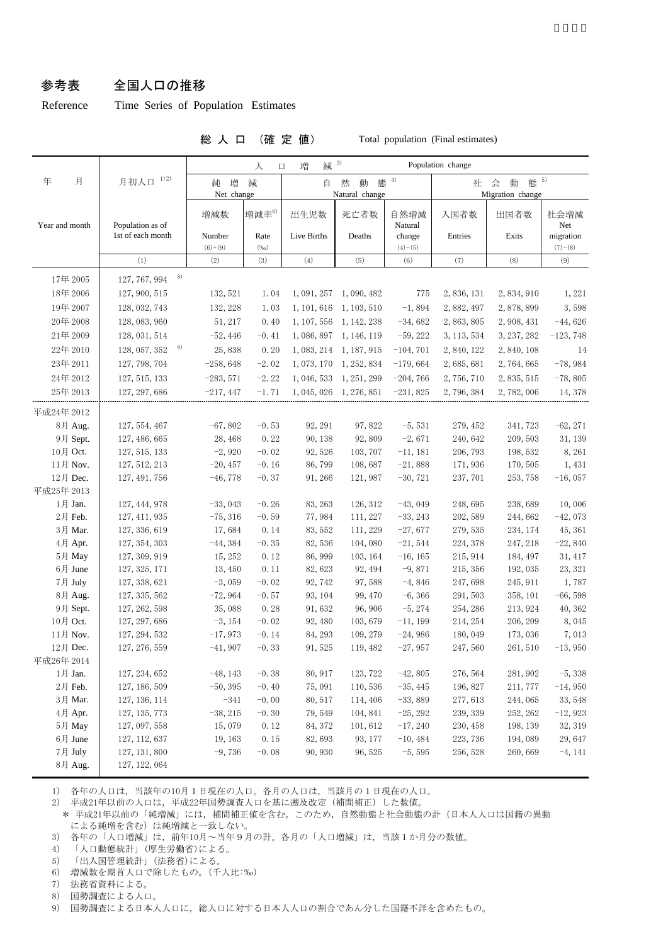#### 参考表 全国人口の推移

Reference Time Series of Population Estimates

総 人 口 (確 定 値) Total population (Final estimates)

|                           |                                | 減 3)<br>Population change<br>増<br>人<br>口 |                    |                                        |                         |                        |                                         |                     |                        |  |
|---------------------------|--------------------------------|------------------------------------------|--------------------|----------------------------------------|-------------------------|------------------------|-----------------------------------------|---------------------|------------------------|--|
| 年<br>月                    | 1) 2)<br>月初人口                  | 増<br>純<br>Net change                     | 減                  | 態 $4$<br>然<br>動<br>自<br>Natural change |                         |                        | 態 5)<br>会<br>動<br>社<br>Migration change |                     |                        |  |
| Year and month            | Population as of               | 増減数                                      | 増減率6)              | 出生児数                                   | 死亡者数                    | 自然増減<br>Natural        | 入国者数                                    | 出国者数                | 社会増減<br>Net            |  |
|                           | 1st of each month              | Number<br>$(6)+(9)$                      | Rate<br>(%o)       | Live Births                            | Deaths                  | change<br>$(4)-(5)$    | Entries                                 | Exits               | migration<br>$(7)-(8)$ |  |
|                           | (1)                            | (2)                                      | (3)                | (4)                                    | (5)                     | (6)                    | (7)                                     | (8)                 | (9)                    |  |
| 17年2005                   | 8)<br>127, 767, 994            |                                          |                    |                                        |                         |                        |                                         |                     |                        |  |
| 18年 2006                  | 127, 900, 515                  | 132, 521                                 | 1.04               |                                        | 1, 091, 257 1, 090, 482 | 775                    | 2, 836, 131                             | 2,834,910           | 1,221                  |  |
| 19年 2007                  | 128, 032, 743                  | 132, 228                                 | 1.03               |                                        | 1, 101, 616 1, 103, 510 | $-1,894$               | 2,882,497                               | 2,878,899           | 3,598                  |  |
| 20年2008                   | 128, 083, 960                  | 51, 217                                  | 0.40               | 1, 107, 556                            | 1, 142, 238             | $-34,682$              | 2, 863, 805                             | 2, 908, 431         | $-44,626$              |  |
| 21年2009                   | 128, 031, 514                  | $-52, 446$                               | $-0.41$            |                                        | 1, 086, 897 1, 146, 119 | $-59,222$              | 3, 113, 534                             | 3, 237, 282         | $-123,748$             |  |
| 22年2010                   | 8)<br>128, 057, 352            | 25,838                                   | 0.20               |                                        | 1, 083, 214 1, 187, 915 | $-104, 701$            | 2, 840, 122                             | 2,840,108           | 14                     |  |
| 23年2011                   | 127, 798, 704                  | $-258,648$                               | $-2.02$            |                                        | 1, 073, 170 1, 252, 834 | $-179,664$             | 2, 685, 681                             | 2, 764, 665         | $-78,984$              |  |
| 24年2012                   | 127, 515, 133                  | $-283,571$                               | $-2.22$            |                                        | 1, 046, 533 1, 251, 299 | $-204,766$             | 2,756,710                               | 2, 835, 515         | $-78,805$              |  |
| 25年 2013                  | 127, 297, 686                  | $-217,447$                               | $-1.71$            |                                        | 1, 045, 026 1, 276, 851 | $-231,825$             | 2,796,384                               | 2,782,006           | 14, 378                |  |
|                           |                                |                                          |                    |                                        |                         |                        |                                         |                     |                        |  |
| 平成24年 2012                |                                |                                          |                    |                                        |                         |                        |                                         |                     |                        |  |
| 8月 Aug.                   | 127, 554, 467                  | $-67,802$                                | $-0.53$            | 92, 291                                | 97, 822                 | $-5,531$               | 279, 452                                | 341, 723            | $-62, 271$             |  |
| 9月 Sept.                  | 127, 486, 665                  | 28, 468                                  | 0.22               | 90, 138                                | 92,809                  | $-2,671$               | 240, 642                                | 209, 503            | 31, 139                |  |
| 10月 Oct.                  | 127, 515, 133                  | $-2,920$                                 | $-0.02$            | 92, 526                                | 103, 707                | $-11,181$              | 206, 793                                | 198, 532            | 8,261                  |  |
| 11月 Nov.                  | 127, 512, 213                  | $-20, 457$                               | $-0.16$            | 86,799                                 | 108,687                 | $-21,888$              | 171,936                                 | 170, 505            | 1,431                  |  |
| 12月 Dec.<br>127, 491, 756 |                                | $-46,778$                                | $-0.37$            | 91, 266                                | 121, 987                | $-30,721$              | 237, 701                                | 253, 758            | $-16,057$              |  |
| 平成25年 2013                |                                |                                          |                    |                                        |                         |                        |                                         |                     |                        |  |
| 1月 Jan.                   | 127, 444, 978                  | $-33,043$                                | $-0.26$            | 83, 263                                | 126, 312                | $-43,049$              | 248,695                                 | 238,689             | 10,006                 |  |
| 2月 Feb.                   | 127, 411, 935                  | $-75, 316$                               | $-0.59$            | 77,984                                 | 111, 227                | $-33, 243$             | 202, 589                                | 244,662             | $-42,073$              |  |
| 3月 Mar.                   | 127, 336, 619                  | 17,684                                   | 0.14               | 83, 552                                | 111, 229                | $-27,677$              | 279, 535                                | 234, 174            | 45, 361                |  |
| 4月 Apr.                   | 127, 354, 303                  | $-44,384$                                | $-0.35$            | 82,536                                 | 104,080                 | $-21,544$              | 224, 378                                | 247, 218            | $-22,840$              |  |
| 5月 May                    | 127, 309, 919                  | 15, 252                                  | 0.12               | 86, 999                                | 103, 164                | $-16, 165$             | 215, 914                                | 184, 497            | 31, 417                |  |
| 6月 June                   | 127, 325, 171                  | 13, 450                                  | 0.11               | 82, 623                                | 92, 494                 | $-9,871$               | 215, 356                                | 192, 035            | 23, 321                |  |
| 7月 July                   | 127, 338, 621                  | $-3,059$                                 | $-0.02$            | 92, 742                                | 97,588                  | $-4,846$               | 247,698                                 | 245, 911            | 1,787                  |  |
| 8月 Aug.                   | 127, 335, 562                  | $-72,964$                                | $-0.57$            | 93, 104                                | 99, 470                 | $-6, 366$              | 291, 503                                | 358, 101            | $-66,598$              |  |
| 9月 Sept.                  | 127, 262, 598<br>127, 297, 686 | 35,088                                   | 0.28               | 91,632                                 | 96, 906                 | $-5, 274$              | 254, 286                                | 213, 924            | 40, 362                |  |
| 10月 Oct.<br>11月 Nov.      | 127, 294, 532                  | $-3, 154$                                | $-0.02$<br>$-0.14$ | 92, 480                                | 103,679<br>109, 279     | $-11,199$              | 214, 254                                | 206, 209            | 8,045                  |  |
| 12月 Dec.                  | 127, 276, 559                  | $-17,973$<br>$-41,907$                   | $-0.33$            | 84, 293<br>91,525                      | 119, 482                | $-24,986$<br>$-27,957$ | 180,049<br>247,560                      | 173,036<br>261, 510 | 7,013<br>$-13,950$     |  |
| 平成26年 2014                |                                |                                          |                    |                                        |                         |                        |                                         |                     |                        |  |
| $1$ 月 Jan.                | 127, 234, 652                  | $-48, 143$                               | $-0.38$            | 80, 917                                | 123, 722                | $-42,805$              | 276, 564                                | 281, 902            | $-5,338$               |  |
| $2$ 月 Feb. $\,$           | 127, 186, 509                  | $-50, 395$                               | $-0.40$            | 75,091                                 | 110,536                 | $-35, 445$             | 196, 827                                | 211, 777            | $-14,950$              |  |
| 3月 Mar.                   | 127, 136, 114                  | $-341$                                   | $-0.00$            | 80, 517                                | 114, 406                | $-33,889$              | 277, 613                                | 244,065             | 33, 548                |  |
| 4月 Apr.                   | 127, 135, 773                  | $-38, 215$                               | $-0.30$            | 79, 549                                | 104, 841                | $-25, 292$             | 239, 339                                | 252, 262            | $-12,923$              |  |
| 5月 May                    | 127, 097, 558                  | 15,079                                   | 0.12               | 84, 372                                | 101,612                 | $-17, 240$             | 230, 458                                | 198, 139            | 32, 319                |  |
| 6月 June                   | 127, 112, 637                  | 19, 163                                  | 0.15               | 82,693                                 | 93, 177                 | $-10,484$              | 223, 736                                | 194,089             | 29,647                 |  |
| 7月 July                   | 127, 131, 800                  | $-9,736$                                 | $-0.08$            | 90, 930                                | 96, 525                 | $-5,595$               | 256, 528                                | 260, 669            | $-4, 141$              |  |
| 8月 Aug.                   | 127, 122, 064                  |                                          |                    |                                        |                         |                        |                                         |                     |                        |  |

1) 各年の人口は,当該年の10月1日現在の人口。各月の人口は,当該月の1日現在の人口。

2) 平成21年以前の人口は,平成22年国勢調査人口を基に遡及改定(補間補正)した数値。

\* 平成21年以前の「純増減」には、補間補正値を含む。このため、自然動態と社会動態の計(日本人人口は国籍の異動 による純増を含む)は純増減と一致しない。

3) 各年の「人口増減」は,前年10月~当年9月の計。各月の「人口増減」は,当該1か月分の数値。

4) 「人口動態統計」(厚生労働省)による。

5) 「出入国管理統計」(法務省)による。

6) 増減数を期首人口で除したもの。(千人比:‰)

7) 法務省資料による。

8) 国勢調査による人口。

9) 国勢調査による日本人人口に,総人口に対する日本人人口の割合であん分した国籍不詳を含めたもの。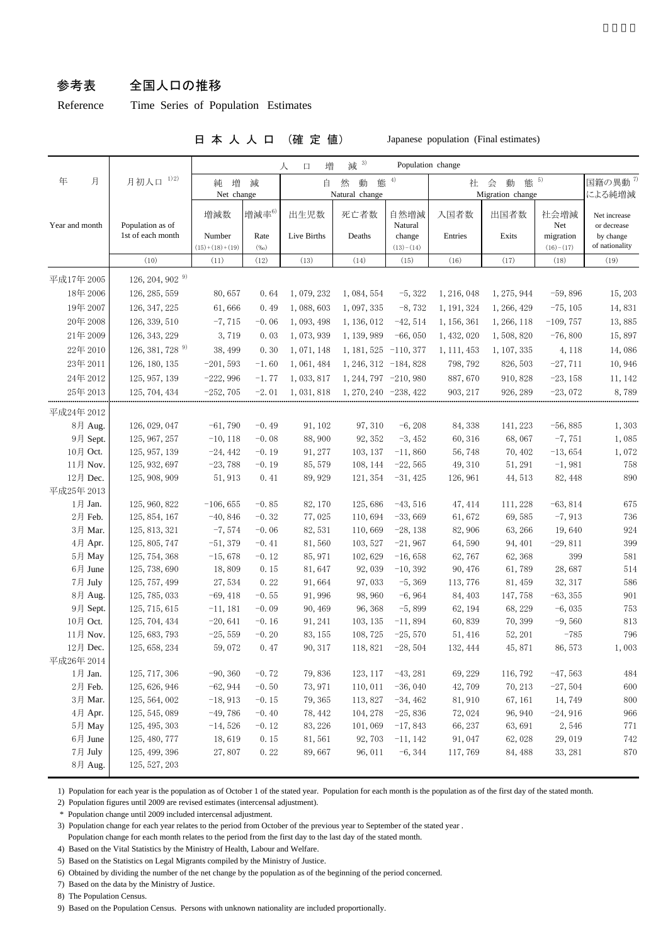#### 参考表 全国人口の推移

Reference Time Series of Population Estimates

#### 日 本 人 人 口 (確 定 値) Japanese population (Final estimates)

|                     | 减 3)<br>Population change<br>増<br>人<br>口 |                            |                    |                        |                         |                        |                     |                    |                          |                             |
|---------------------|------------------------------------------|----------------------------|--------------------|------------------------|-------------------------|------------------------|---------------------|--------------------|--------------------------|-----------------------------|
| 月初人口 1)2)<br>年<br>月 |                                          | 増<br>純<br>減<br>Net change  |                    | 4)<br>然<br>態<br>自<br>動 |                         |                        | 態 5)<br>会<br>動<br>社 |                    |                          | 国籍の異動 <sup>7)</sup>         |
|                     |                                          |                            |                    |                        | Natural change          |                        |                     | Migration change   |                          | による純増減                      |
| Year and month      | Population as of                         | 増減数                        | 増減率6)              | 出生児数                   | 死亡者数                    | 自然増減<br>Natural        | 入国者数                | 出国者数               | 社会増減<br>Net              | Net increase<br>or decrease |
|                     | 1st of each month                        | Number<br>$(15)+(18)+(19)$ | Rate<br>$(\%o)$    | Live Births            | Deaths                  | change<br>$(13)-(14)$  | Entries             | Exits              | migration<br>$(16)-(17)$ | by change<br>of nationality |
|                     | (10)                                     | (11)                       | (12)               | (13)                   | (14)                    | (15)                   | (16)                | (17)               | (18)                     | (19)                        |
| 平成17年 2005          | 126, 204, 902 $^{9}$                     |                            |                    |                        |                         |                        |                     |                    |                          |                             |
| 18年 2006            | 126, 285, 559                            | 80,657                     | 0.64               | 1,079,232              | 1, 084, 554             | $-5,322$               | 1, 216, 048         | 1, 275, 944        | $-59,896$                | 15, 203                     |
| 19年 2007            | 126, 347, 225                            | 61,666                     | 0.49               | 1,088,603              | 1,097,335               | $-8,732$               | 1, 191, 324         | 1, 266, 429        | $-75, 105$               | 14,831                      |
| 20年 2008            | 126, 339, 510                            | $-7,715$                   | $-0.06$            | 1,093,498              | 1, 136, 012             | $-42,514$              | 1, 156, 361         | 1, 266, 118        | $-109,757$               | 13,885                      |
| 21年2009             | 126, 343, 229                            | 3,719                      | 0.03               | 1,073,939              | 1, 139, 989             | $-66,050$              | 1, 432, 020         | 1,508,820          | $-76,800$                | 15,897                      |
| 22年 2010            | 126, 381, 728 9)                         | 38, 499                    | 0.30               | 1, 071, 148            | $1, 181, 525 -110, 377$ |                        | 1, 111, 453         | 1, 107, 335        | 4,118                    | 14,086                      |
| 23年 2011            | 126, 180, 135                            | $-201,593$                 | $-1.60$            | 1, 061, 484            | $1, 246, 312 -184, 828$ |                        | 798, 792            | 826, 503           | $-27,711$                | 10,946                      |
| 24年 2012            | 125, 957, 139                            | $-222,996$                 | $-1.77$            | 1,033,817              | $1, 244, 797 -210, 980$ |                        | 887,670             | 910, 828           | $-23, 158$               | 11, 142                     |
| 25年 2013            | 125, 704, 434                            | $-252,705$                 | $-2.01$            | 1,031,818              | 1, 270, 240 -238, 422   |                        | 903, 217            | 926, 289           | $-23,072$                | 8,789                       |
|                     |                                          |                            |                    |                        |                         |                        |                     |                    |                          |                             |
| 平成24年 2012          |                                          |                            |                    |                        |                         |                        |                     |                    |                          |                             |
| 8月 Aug.             | 126, 029, 047                            | $-61,790$                  | $-0.49$            | 91, 102                | 97, 310                 | $-6, 208$              | 84, 338             | 141, 223           | $-56,885$                | 1,303                       |
| 9月 Sept.            | 125, 967, 257                            | $-10, 118$                 | $-0.08$            | 88,900                 | 92, 352                 | $-3,452$               | 60, 316             | 68,067             | $-7,751$                 | 1,085                       |
| 10月 Oct.            | 125, 957, 139                            | $-24,442$                  | $-0.19$            | 91, 277                | 103, 137                | $-11,860$              | 56,748              | 70, 402            | $-13,654$                | 1,072                       |
| 11月 Nov.            | 125, 932, 697                            | $-23,788$                  | $-0.19$            | 85, 579                | 108, 144                | $-22,565$              | 49, 310             | 51, 291            | $-1,981$                 | 758                         |
| 12月 Dec.            | 125, 908, 909                            | 51, 913                    | 0.41               | 89, 929                | 121, 354                | $-31,425$              | 126, 961            | 44, 513            | 82, 448                  | 890                         |
| 平成25年 2013          |                                          |                            |                    |                        |                         |                        |                     |                    |                          |                             |
| 1月 Jan.<br>2月 Feb.  | 125, 960, 822<br>125, 854, 167           | $-106, 655$<br>$-40,846$   | $-0.85$<br>$-0.32$ | 82, 170<br>77,025      | 125,686<br>110,694      | $-43,516$<br>$-33,669$ | 47, 414<br>61,672   | 111, 228<br>69,585 | $-63,814$<br>$-7,913$    | 675<br>736                  |
| 3月 Mar.             | 125, 813, 321                            | $-7,574$                   |                    | 82,531                 | 110,669                 | $-28,138$              | 82,906              | 63, 266            | 19,640                   | 924                         |
| 4月 Apr.             | 125, 805, 747                            | $-51,379$                  | $-0.06$<br>$-0.41$ | 81,560                 | 103, 527                | $-21,967$              | 64,590              | 94, 401            | $-29,811$                | 399                         |
| 5月 May              | 125, 754, 368                            | $-15,678$                  | $-0.12$            | 85, 971                | 102,629                 | $-16,658$              | 62,767              | 62,368             | 399                      | 581                         |
| 6月 June             | 125, 738, 690                            | 18,809                     | 0.15               | 81,647                 | 92,039                  | $-10, 392$             | 90, 476             | 61,789             | 28,687                   | 514                         |
| 7月 July             | 125, 757, 499                            | 27,534                     | 0.22               | 91,664                 | 97,033                  | $-5, 369$              | 113, 776            | 81, 459            | 32, 317                  | 586                         |
| 8月 Aug.             | 125, 785, 033                            | $-69,418$                  | $-0.55$            | 91,996                 | 98, 960                 | $-6,964$               | 84, 403             | 147,758            | $-63, 355$               | 901                         |
| 9月 Sept.            | 125, 715, 615                            | $-11,181$                  | $-0.09$            | 90, 469                | 96, 368                 | $-5,899$               | 62, 194             | 68, 229            | $-6,035$                 | 753                         |
| 10月 Oct.            | 125, 704, 434                            | $-20,641$                  | $-0.16$            | 91, 241                | 103, 135                | $-11,894$              | 60,839              | 70,399             | $-9,560$                 | 813                         |
| 11月 Nov.            | 125, 683, 793                            | $-25,559$                  | $-0.20$            | 83, 155                | 108, 725                | $-25,570$              | 51, 416             | 52, 201            | $-785$                   | 796                         |
| 12月 Dec.            | 125, 658, 234                            | 59,072                     | 0.47               | 90, 317                | 118,821                 | $-28,504$              | 132, 444            | 45,871             | 86, 573                  | 1,003                       |
| 平成26年 2014          |                                          |                            |                    |                        |                         |                        |                     |                    |                          |                             |
| 1月 Jan.             | 125, 717, 306                            | $-90, 360$                 | $-0.72$            | 79,836                 | 123, 117                | $-43, 281$             | 69, 229             | 116, 792           | $-47,563$                | 484                         |
| 2月 Feb.             | 125, 626, 946                            | $-62,944$                  | $-0.50$            | 73, 971                | 110,011                 | $-36,040$              | 42,709              | 70, 213            | $-27,504$                | 600                         |
| 3月 Mar.             | 125, 564, 002                            | $-18,913$                  | $-0.15$            | 79, 365                | 113,827                 | $-34,462$              | 81, 910             | 67, 161            | 14, 749                  | 800                         |
| 4月 Apr.             | 125, 545, 089                            | $-49,786$                  | $-0.40$            | 78, 442                | 104, 278                | $-25,836$              | 72, 024             | 96, 940            | $-24,916$                | 966                         |
| 5月 May              | 125, 495, 303                            | $-14,526$                  | $-0.12$            | 83, 226                | 101,069                 | $-17,843$              | 66, 237             | 63, 691            | 2,546                    | 771                         |
| 6月 June             | 125, 480, 777                            | 18,619                     | 0.15               | 81,561                 | 92, 703                 | $-11, 142$             | 91,047              | 62,028             | 29,019                   | 742                         |
| 7月 July             | 125, 499, 396                            | 27,807                     | 0.22               | 89,667                 | 96, 011                 | $-6, 344$              | 117,769             | 84, 488            | 33, 281                  | 870                         |
| 8月 Aug.             | 125, 527, 203                            |                            |                    |                        |                         |                        |                     |                    |                          |                             |

1) Population for each year is the population as of October 1 of the stated year. Population for each month is the population as of the first day of the stated month.

2) Population figures until 2009 are revised estimates (intercensal adjustment).

\* Population change until 2009 included intercensal adjustment.

 3) Population change for each year relates to the period from October of the previous year to September of the stated year . Population change for each month relates to the period from the first day to the last day of the stated month.

4) Based on the Vital Statistics by the Ministry of Health, Labour and Welfare.

5) Based on the Statistics on Legal Migrants compiled by the Ministry of Justice.

6) Obtained by dividing the number of the net change by the population as of the beginning of the period concerned.

7) Based on the data by the Ministry of Justice.

8) The Population Census.

9) Based on the Population Census. Persons with unknown nationality are included proportionally.